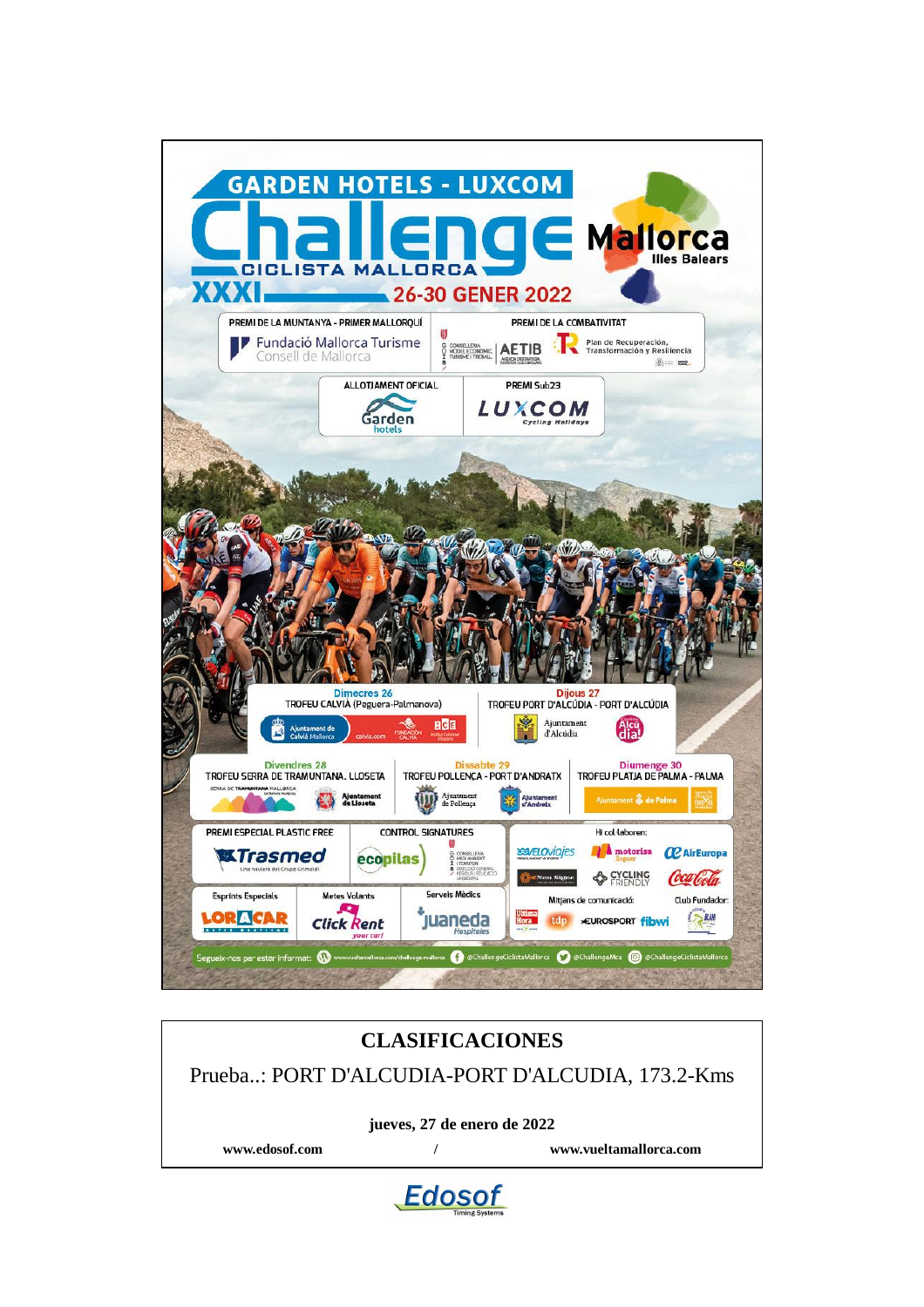



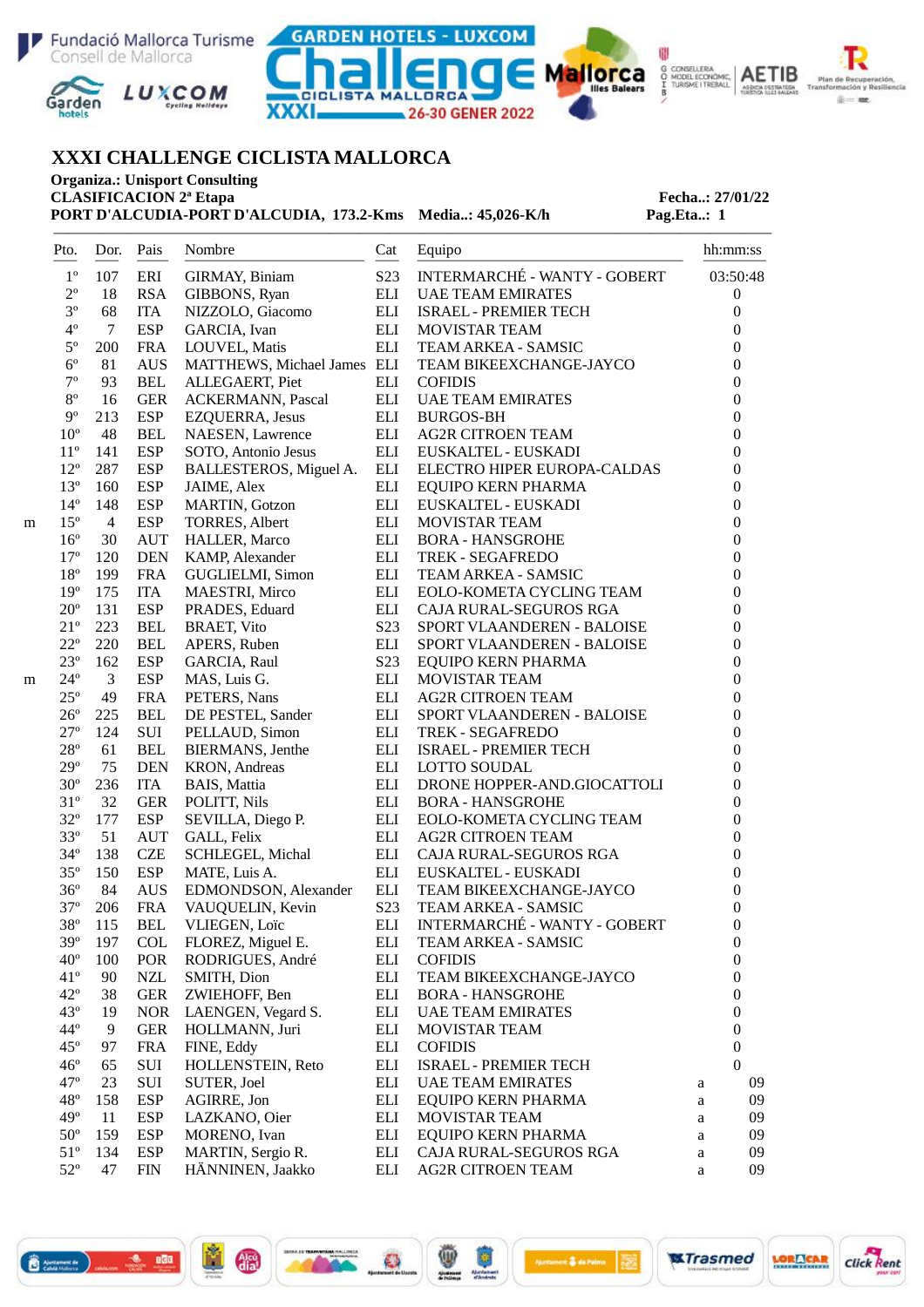







# **XXXI CHALLENGE CICLISTA MALLORCA**

# **Organiza.: Unisport Consulting**

|   |                 | <b>CLASIFICACION 2<sup>ª</sup> Etapa</b><br>PORT D'ALCUDIA-PORT D'ALCUDIA, 173.2-Kms Media: 45,026-K/h |                        |                             |                             |                                                  | Fecha: 27/01/22<br>Pag.Eta: 1 |                  |  |
|---|-----------------|--------------------------------------------------------------------------------------------------------|------------------------|-----------------------------|-----------------------------|--------------------------------------------------|-------------------------------|------------------|--|
|   | Pto.<br>$- - -$ | $- - -$                                                                                                | Dor. Pais<br>$- - - -$ | Nombre                      | Cat                         | Equipo<br>_________________                      |                               | hh:mm:ss         |  |
|   | $1^{\circ}$     | 107                                                                                                    | ERI                    | GIRMAY, Biniam              | $- - -$<br>S <sub>2</sub> 3 | INTERMARCHÉ - WANTY - GOBERT                     |                               | 03:50:48         |  |
|   | $2^{\circ}$     | 18                                                                                                     | <b>RSA</b>             | GIBBONS, Ryan               | ELI                         | <b>UAE TEAM EMIRATES</b>                         |                               | $\boldsymbol{0}$ |  |
|   | $3^{\circ}$     | 68                                                                                                     | <b>ITA</b>             | NIZZOLO, Giacomo            | ELI                         | <b>ISRAEL - PREMIER TECH</b>                     |                               | $\boldsymbol{0}$ |  |
|   | $4^{\circ}$     | $\tau$                                                                                                 | <b>ESP</b>             | GARCIA, Ivan                | ELI                         | <b>MOVISTAR TEAM</b>                             |                               | 0                |  |
|   | $5^{\circ}$     | 200                                                                                                    | <b>FRA</b>             | LOUVEL, Matis               | ELI                         | TEAM ARKEA - SAMSIC                              |                               | 0                |  |
|   | $6^{\circ}$     | 81                                                                                                     | <b>AUS</b>             | MATTHEWS, Michael James ELI |                             | TEAM BIKEEXCHANGE-JAYCO                          |                               | 0                |  |
|   | $7^{\circ}$     | 93                                                                                                     | <b>BEL</b>             | ALLEGAERT, Piet             | ELI                         | <b>COFIDIS</b>                                   |                               | 0                |  |
|   | $8^{\circ}$     | 16                                                                                                     | <b>GER</b>             | <b>ACKERMANN</b> , Pascal   | ELI                         | <b>UAE TEAM EMIRATES</b>                         |                               | $\boldsymbol{0}$ |  |
|   | $9^{\circ}$     | 213                                                                                                    | <b>ESP</b>             | <b>EZQUERRA, Jesus</b>      | ELI                         | <b>BURGOS-BH</b>                                 |                               | $\boldsymbol{0}$ |  |
|   | $10^{\circ}$    | 48                                                                                                     | <b>BEL</b>             | NAESEN, Lawrence            | ELI                         | <b>AG2R CITROEN TEAM</b>                         |                               | $\boldsymbol{0}$ |  |
|   | $11^{\circ}$    | 141                                                                                                    | <b>ESP</b>             | SOTO, Antonio Jesus         | ELI                         | EUSKALTEL - EUSKADI                              |                               | $\overline{0}$   |  |
|   | $12^{\circ}$    | 287                                                                                                    | <b>ESP</b>             | BALLESTEROS, Miguel A.      | ELI                         | ELECTRO HIPER EUROPA-CALDAS                      |                               | $\overline{0}$   |  |
|   | $13^{\circ}$    | 160                                                                                                    | <b>ESP</b>             | JAIME, Alex                 | ELI                         | EQUIPO KERN PHARMA                               |                               | $\overline{0}$   |  |
|   | $14^{\circ}$    | 148                                                                                                    | <b>ESP</b>             | MARTIN, Gotzon              | ELI                         | EUSKALTEL - EUSKADI                              |                               | 0                |  |
|   | $15^{\circ}$    | $\overline{4}$                                                                                         | <b>ESP</b>             | <b>TORRES, Albert</b>       | ELI                         | <b>MOVISTAR TEAM</b>                             |                               | $\boldsymbol{0}$ |  |
| m | $16^{\circ}$    | 30                                                                                                     | <b>AUT</b>             | HALLER, Marco               | ELI                         | <b>BORA - HANSGROHE</b>                          |                               | $\boldsymbol{0}$ |  |
|   | $17^{\circ}$    | 120                                                                                                    | <b>DEN</b>             | KAMP, Alexander             | ELI                         | TREK - SEGAFREDO                                 |                               | $\boldsymbol{0}$ |  |
|   | $18^{\circ}$    | 199                                                                                                    | <b>FRA</b>             | GUGLIELMI, Simon            | ELI                         | TEAM ARKEA - SAMSIC                              |                               | $\boldsymbol{0}$ |  |
|   | $19^{\circ}$    | 175                                                                                                    | <b>ITA</b>             |                             | ELI                         |                                                  |                               | $\overline{0}$   |  |
|   |                 |                                                                                                        |                        | MAESTRI, Mirco              |                             | EOLO-KOMETA CYCLING TEAM                         |                               |                  |  |
|   | $20^{\circ}$    | 131                                                                                                    | <b>ESP</b>             | PRADES, Eduard              | ELI                         | CAJA RURAL-SEGUROS RGA                           |                               | $\boldsymbol{0}$ |  |
|   | $21^{\circ}$    | 223                                                                                                    | <b>BEL</b>             | <b>BRAET, Vito</b>          | S <sub>23</sub>             | SPORT VLAANDEREN - BALOISE                       |                               | 0                |  |
|   | $22^{\circ}$    | 220                                                                                                    | <b>BEL</b>             | APERS, Ruben                | ELI                         | SPORT VLAANDEREN - BALOISE                       |                               | 0                |  |
|   | $23^{\circ}$    | 162                                                                                                    | <b>ESP</b>             | GARCIA, Raul                | S <sub>23</sub>             | <b>EQUIPO KERN PHARMA</b>                        |                               | 0                |  |
| m | $24^{\circ}$    | 3                                                                                                      | <b>ESP</b>             | MAS, Luis G.                | ELI                         | <b>MOVISTAR TEAM</b>                             |                               | $\boldsymbol{0}$ |  |
|   | $25^{\circ}$    | 49                                                                                                     | <b>FRA</b>             | PETERS, Nans                | ELI                         | <b>AG2R CITROEN TEAM</b>                         |                               | $\boldsymbol{0}$ |  |
|   | $26^{\circ}$    | 225                                                                                                    | <b>BEL</b>             | DE PESTEL, Sander           | ELI                         | SPORT VLAANDEREN - BALOISE                       |                               | $\boldsymbol{0}$ |  |
|   | $27^{\circ}$    | 124                                                                                                    | SUI                    | PELLAUD, Simon              | ELI                         | <b>TREK - SEGAFREDO</b>                          |                               | $\boldsymbol{0}$ |  |
|   | $28^{\circ}$    | 61                                                                                                     | <b>BEL</b>             | <b>BIERMANS</b> , Jenthe    | ELI                         | <b>ISRAEL - PREMIER TECH</b>                     |                               | $\boldsymbol{0}$ |  |
|   | $29^{\circ}$    | 75                                                                                                     | <b>DEN</b>             | KRON, Andreas               | ELI                         | LOTTO SOUDAL                                     |                               | 0                |  |
|   | $30^{\circ}$    | 236                                                                                                    | <b>ITA</b>             | BAIS, Mattia                | ELI                         | DRONE HOPPER-AND.GIOCATTOLI                      |                               | 0                |  |
|   | $31^{\circ}$    | 32                                                                                                     | <b>GER</b>             | POLITT, Nils                | ELI                         | <b>BORA - HANSGROHE</b>                          |                               | 0                |  |
|   | $32^{\circ}$    | 177                                                                                                    | <b>ESP</b>             | SEVILLA, Diego P.           | ELI                         | EOLO-KOMETA CYCLING TEAM                         |                               | $\boldsymbol{0}$ |  |
|   | $33^{\circ}$    | 51                                                                                                     | <b>AUT</b>             | GALL, Felix                 | ELI                         | <b>AG2R CITROEN TEAM</b>                         |                               | 0                |  |
|   | $34^{\circ}$    | 138                                                                                                    | <b>CZE</b>             | SCHLEGEL, Michal            | ELI                         | CAJA RURAL-SEGUROS RGA                           |                               | $\boldsymbol{0}$ |  |
|   | $35^{\circ}$    | 150                                                                                                    | <b>ESP</b>             | MATE, Luis A.               | ELI                         | EUSKALTEL - EUSKADI                              |                               | $\boldsymbol{0}$ |  |
|   | $36^{\circ}$    | 84                                                                                                     | AUS                    |                             |                             | EDMONDSON, Alexander ELI TEAM BIKEEXCHANGE-JAYCO |                               | $\boldsymbol{0}$ |  |
|   | $37^{\circ}$    | 206                                                                                                    | <b>FRA</b>             | VAUQUELIN, Kevin            | S <sub>23</sub>             | TEAM ARKEA - SAMSIC                              |                               | 0                |  |
|   | $38^{\circ}$    | 115                                                                                                    | <b>BEL</b>             | VLIEGEN, Loïc               | ELI                         | <b>INTERMARCHÉ - WANTY - GOBERT</b>              |                               | 0                |  |
|   | $39^\circ$      | 197                                                                                                    | COL                    | FLOREZ, Miguel E.           | <b>ELI</b>                  | TEAM ARKEA - SAMSIC                              |                               | 0                |  |
|   | $40^{\circ}$    | 100                                                                                                    | POR                    | RODRIGUES, André            | ELI                         | <b>COFIDIS</b>                                   |                               | 0                |  |
|   | $41^{\circ}$    | 90                                                                                                     | NZL                    | SMITH, Dion                 | ELI                         | TEAM BIKEEXCHANGE-JAYCO                          |                               | 0                |  |
|   | $42^{\circ}$    | 38                                                                                                     | <b>GER</b>             | ZWIEHOFF, Ben               | <b>ELI</b>                  | <b>BORA - HANSGROHE</b>                          |                               | 0                |  |
|   | $43^{\circ}$    | 19                                                                                                     | <b>NOR</b>             | LAENGEN, Vegard S.          | ELI                         | <b>UAE TEAM EMIRATES</b>                         |                               | 0                |  |
|   | $44^{\circ}$    | 9                                                                                                      | <b>GER</b>             | HOLLMANN, Juri              | ELI                         | MOVISTAR TEAM                                    |                               | 0                |  |
|   | $45^{\circ}$    | 97                                                                                                     | <b>FRA</b>             | FINE, Eddy                  | ELI                         | <b>COFIDIS</b>                                   |                               | $\boldsymbol{0}$ |  |
|   | $46^{\circ}$    | 65                                                                                                     | SUI                    | HOLLENSTEIN, Reto           | ELI                         | <b>ISRAEL - PREMIER TECH</b>                     |                               | $\Omega$         |  |
|   | $47^{\circ}$    | 23                                                                                                     | SUI                    | SUTER, Joel                 | ELI                         | <b>UAE TEAM EMIRATES</b>                         | a                             | 09               |  |
|   | $48^{\circ}$    | 158                                                                                                    | <b>ESP</b>             | AGIRRE, Jon                 | ELI                         | EQUIPO KERN PHARMA                               | a                             | 09               |  |
|   | $49^\circ$      | 11                                                                                                     | <b>ESP</b>             | LAZKANO, Oier               | ELI                         | <b>MOVISTAR TEAM</b>                             | a                             | 09               |  |
|   | $50^{\circ}$    | 159                                                                                                    | <b>ESP</b>             | MORENO, Ivan                | $\mathop{\rm ELI}$          | <b>EQUIPO KERN PHARMA</b>                        | a                             | 09               |  |
|   | $51^{\circ}$    | 134                                                                                                    | <b>ESP</b>             | MARTIN, Sergio R.           | $\mathop{\rm ELI}$          | CAJA RURAL-SEGUROS RGA                           | a                             | 09               |  |
|   | $52^{\circ}$    | 47                                                                                                     | FIN                    | HÄNNINEN, Jaakko            | ELI                         | <b>AG2R CITROEN TEAM</b>                         | a                             | 09               |  |

**B** Securities





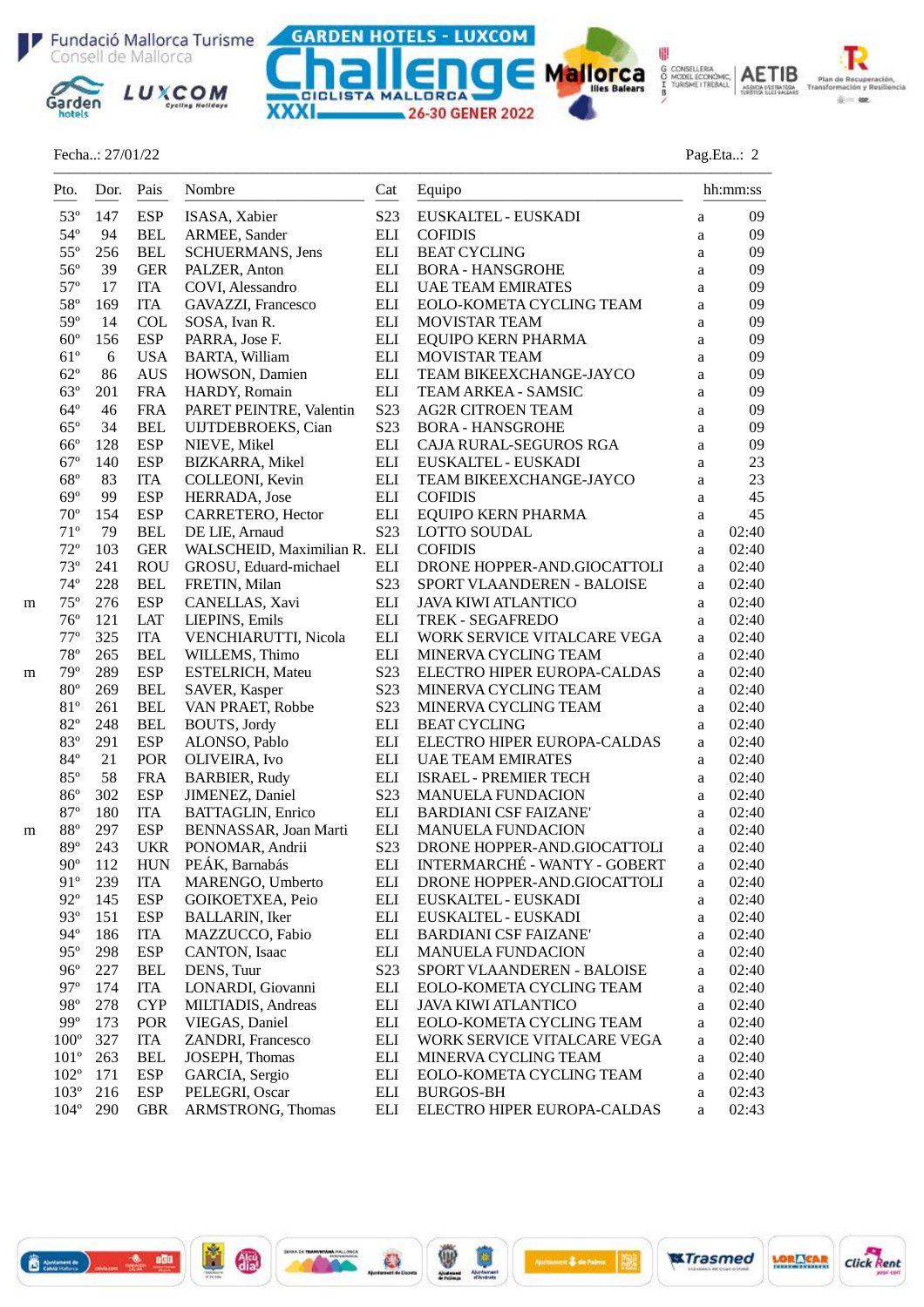



Q. G CONSELLERIA<br>O MODEL ECONOMIC | AETIB Plan de Recuperación,<br>Insformación y Resilier .<br>Tra  $\ddot{\textbf{a}}=\dot{\textbf{a}}$ 

# Fecha..: 27/01/22 Pag.Eta..: 2

| Pto.<br>$- - -$ | Dor. | Pais<br>$- - - -$ | Nombre                       | Cat                | Equipo<br>______________________ |              | hh:mm:ss |
|-----------------|------|-------------------|------------------------------|--------------------|----------------------------------|--------------|----------|
| $53^{\circ}$    | 147  | <b>ESP</b>        | ISASA, Xabier                | S23                | EUSKALTEL - EUSKADI              | a            | 09       |
| $54^\circ$      | 94   | <b>BEL</b>        | ARMEE, Sander                | ELI                | <b>COFIDIS</b>                   | a            | 09       |
| $55^{\circ}$    | 256  | <b>BEL</b>        | <b>SCHUERMANS</b> , Jens     | <b>ELI</b>         | <b>BEAT CYCLING</b>              | a            | 09       |
| $56^{\circ}$    | 39   | <b>GER</b>        | PALZER, Anton                | <b>ELI</b>         | <b>BORA - HANSGROHE</b>          | $\rm{a}$     | 09       |
| $57^{\circ}$    | 17   | <b>ITA</b>        | COVI, Alessandro             | <b>ELI</b>         | <b>UAE TEAM EMIRATES</b>         | $\rm{a}$     | 09       |
| $58^{\rm o}$    | 169  | <b>ITA</b>        | GAVAZZI, Francesco           | <b>ELI</b>         | EOLO-KOMETA CYCLING TEAM         | $\rm{a}$     | 09       |
| $59^\circ$      | 14   | <b>COL</b>        | SOSA, Ivan R.                | <b>ELI</b>         | <b>MOVISTAR TEAM</b>             | $\rm{a}$     | 09       |
| $60^{\circ}$    | 156  | <b>ESP</b>        | PARRA, Jose F.               | ELI                | <b>EQUIPO KERN PHARMA</b>        | $\rm{a}$     | 09       |
| $61^{\circ}$    | 6    | <b>USA</b>        | <b>BARTA, William</b>        | <b>ELI</b>         | <b>MOVISTAR TEAM</b>             | $\rm{a}$     | 09       |
| $62^{\circ}$    | 86   | <b>AUS</b>        | HOWSON, Damien               | ELI                | TEAM BIKEEXCHANGE-JAYCO          | $\rm{a}$     | 09       |
| $63^{\circ}$    | 201  | <b>FRA</b>        | HARDY, Romain                | ELI                | TEAM ARKEA - SAMSIC              | a            | 09       |
| $64^{\circ}$    | 46   | <b>FRA</b>        | PARET PEINTRE, Valentin      | S23                | <b>AG2R CITROEN TEAM</b>         | $\rm{a}$     | 09       |
| $65^{\circ}$    | 34   | <b>BEL</b>        | UIJTDEBROEKS, Cian           | S23                | <b>BORA - HANSGROHE</b>          | $\rm{a}$     | 09       |
| $66^{\circ}$    | 128  | <b>ESP</b>        | NIEVE, Mikel                 | <b>ELI</b>         | CAJA RURAL-SEGUROS RGA           | $\rm{a}$     | 09       |
| $67^\circ$      | 140  | <b>ESP</b>        | <b>BIZKARRA, Mikel</b>       | <b>ELI</b>         | EUSKALTEL - EUSKADI              | a            | 23       |
| $68^{\circ}$    | 83   | <b>ITA</b>        | COLLEONI, Kevin              | $\mathop{\rm ELI}$ | TEAM BIKEEXCHANGE-JAYCO          | a            | 23       |
| $69^\circ$      | 99   | <b>ESP</b>        | HERRADA, Jose                | <b>ELI</b>         | <b>COFIDIS</b>                   | a            | 45       |
| $70^{\circ}$    | 154  | <b>ESP</b>        | CARRETERO, Hector            | $\mathop{\rm ELI}$ | <b>EQUIPO KERN PHARMA</b>        | $\mathbf a$  | 45       |
| $71^{\circ}$    | 79   | <b>BEL</b>        | DE LIE, Arnaud               | S23                | <b>LOTTO SOUDAL</b>              | a            | 02:40    |
| $72^{\circ}$    | 103  | <b>GER</b>        | WALSCHEID, Maximilian R. ELI |                    | <b>COFIDIS</b>                   | a            | 02:40    |
| $73^{\circ}$    | 241  | <b>ROU</b>        | GROSU, Eduard-michael        | <b>ELI</b>         | DRONE HOPPER-AND.GIOCATTOLI      | a            | 02:40    |
| $74^{\circ}$    | 228  | <b>BEL</b>        | FRETIN, Milan                | S23                | SPORT VLAANDEREN - BALOISE       | $\rm{a}$     | 02:40    |
| $75^{\circ}$    | 276  | <b>ESP</b>        | CANELLAS, Xavi               | $\mathop{\rm ELI}$ | <b>JAVA KIWI ATLANTICO</b>       | $\rm{a}$     | 02:40    |
| $76^{\circ}$    | 121  | LAT               | LIEPINS, Emils               | <b>ELI</b>         | <b>TREK - SEGAFREDO</b>          | a            | 02:40    |
| $77^{\circ}$    | 325  | <b>ITA</b>        | VENCHIARUTTI, Nicola         | $\mathop{\rm ELI}$ | WORK SERVICE VITALCARE VEGA      | $\rm{a}$     | 02:40    |
| $78^{\rm o}$    | 265  | <b>BEL</b>        | WILLEMS, Thimo               | <b>ELI</b>         | MINERVA CYCLING TEAM             | $\rm{a}$     | 02:40    |
| $79^{\circ}$    | 289  | <b>ESP</b>        | <b>ESTELRICH, Mateu</b>      | S23                | ELECTRO HIPER EUROPA-CALDAS      | $\mathbf{a}$ | 02:40    |
| $80^{\rm o}$    | 269  | <b>BEL</b>        | SAVER, Kasper                | S23                | MINERVA CYCLING TEAM             | a            | 02:40    |
| $81^{\circ}$    | 261  | <b>BEL</b>        | VAN PRAET, Robbe             | S23                | MINERVA CYCLING TEAM             | a            | 02:40    |
| $82^{\circ}$    | 248  | <b>BEL</b>        | BOUTS, Jordy                 | <b>ELI</b>         | <b>BEAT CYCLING</b>              | $\rm{a}$     | 02:40    |
| 83°             | 291  | <b>ESP</b>        | ALONSO, Pablo                | <b>ELI</b>         | ELECTRO HIPER EUROPA-CALDAS      | $\rm{a}$     | 02:40    |
| $84^{\circ}$    | 21   | POR               | OLIVEIRA, Ivo                | <b>ELI</b>         | <b>UAE TEAM EMIRATES</b>         | a            | 02:40    |
| 85°             | 58   | <b>FRA</b>        | <b>BARBIER, Rudy</b>         | $\mathop{\rm ELI}$ | <b>ISRAEL - PREMIER TECH</b>     | a            | 02:40    |
| $86^{\circ}$    | 302  | <b>ESP</b>        | JIMENEZ, Daniel              | S <sub>2</sub> 3   | <b>MANUELA FUNDACION</b>         | a            | 02:40    |
| $87^\circ$      | 180  | <b>ITA</b>        | <b>BATTAGLIN, Enrico</b>     | ELI                | <b>BARDIANI CSF FAIZANE'</b>     | a            | 02:40    |
| $88^{\rm o}$    | 297  | <b>ESP</b>        | BENNASSAR, Joan Marti        | <b>ELI</b>         | <b>MANUELA FUNDACION</b>         | a            | 02:40    |
| 89°             | 243  | <b>UKR</b>        | PONOMAR, Andrii              | S23                | DRONE HOPPER-AND.GIOCATTOLI      | a            | 02:40    |
| $90^{\rm o}$    | 112  |                   | HUN PEÁK, Barnabás           |                    | ELI INTERMARCHÉ - WANTY - GOBERT | a            | 02:40    |
| 91°             | 239  | <b>ITA</b>        | MARENGO, Umberto             | ELI                | DRONE HOPPER-AND.GIOCATTOLI      | a            | 02:40    |
| $92^{\circ}$    | 145  | <b>ESP</b>        | GOIKOETXEA, Peio             | <b>ELI</b>         | EUSKALTEL - EUSKADI              | a            | 02:40    |
| $93^{\circ}$    | 151  | <b>ESP</b>        | <b>BALLARIN, Iker</b>        | ELI                | EUSKALTEL - EUSKADI              | a            | 02:40    |
| $94^\circ$      | 186  | <b>ITA</b>        | MAZZUCCO, Fabio              | ELI                | <b>BARDIANI CSF FAIZANE'</b>     | a            | 02:40    |
| $95^\circ$      | 298  | <b>ESP</b>        | CANTON, Isaac                | ELI                | <b>MANUELA FUNDACION</b>         | a            | 02:40    |
| $96^{\circ}$    | 227  | <b>BEL</b>        | DENS, Tuur                   | S <sub>2</sub> 3   | SPORT VLAANDEREN - BALOISE       |              | 02:40    |
| $97^\circ$      | 174  | <b>ITA</b>        | LONARDI, Giovanni            | <b>ELI</b>         | EOLO-KOMETA CYCLING TEAM         | a<br>a       | 02:40    |
| $98^{\circ}$    | 278  | <b>CYP</b>        | MILTIADIS, Andreas           | <b>ELI</b>         | <b>JAVA KIWI ATLANTICO</b>       | a            | 02:40    |
| 99°             | 173  | POR               | VIEGAS, Daniel               | <b>ELI</b>         | EOLO-KOMETA CYCLING TEAM         | a            | 02:40    |
| $100^{\circ}$   | 327  | <b>ITA</b>        | ZANDRI, Francesco            | <b>ELI</b>         | WORK SERVICE VITALCARE VEGA      | a            | 02:40    |
| $101^{\circ}$   | 263  | <b>BEL</b>        | JOSEPH, Thomas               | ELI                | MINERVA CYCLING TEAM             |              | 02:40    |
| $102^{\circ}$   | 171  | <b>ESP</b>        | GARCIA, Sergio               | <b>ELI</b>         | EOLO-KOMETA CYCLING TEAM         | a            | 02:40    |
| $103^{\circ}$   | 216  | <b>ESP</b>        | PELEGRI, Oscar               | ELI                | <b>BURGOS-BH</b>                 | a            | 02:43    |
| $104^{\circ}$   |      |                   |                              |                    |                                  | a            |          |
|                 | 290  | <b>GBR</b>        | ARMSTRONG, Thomas            | ELI                | ELECTRO HIPER EUROPA-CALDAS      | a            | 02:43    |

Ŵ.

團

 $\frac{1}{2}$  Aberta

**双Trasmed** 

LORACAR

**Click Rent** 

O



 $B\overline{B}B$ 

 $\left(\begin{array}{c}\mathbf{B} \\ \mathbf{B} \end{array}\right)_{\text{conform}} \quad \begin{array}{c}\mathbf{B} \\ \mathbf{B} \end{array}$ 

偶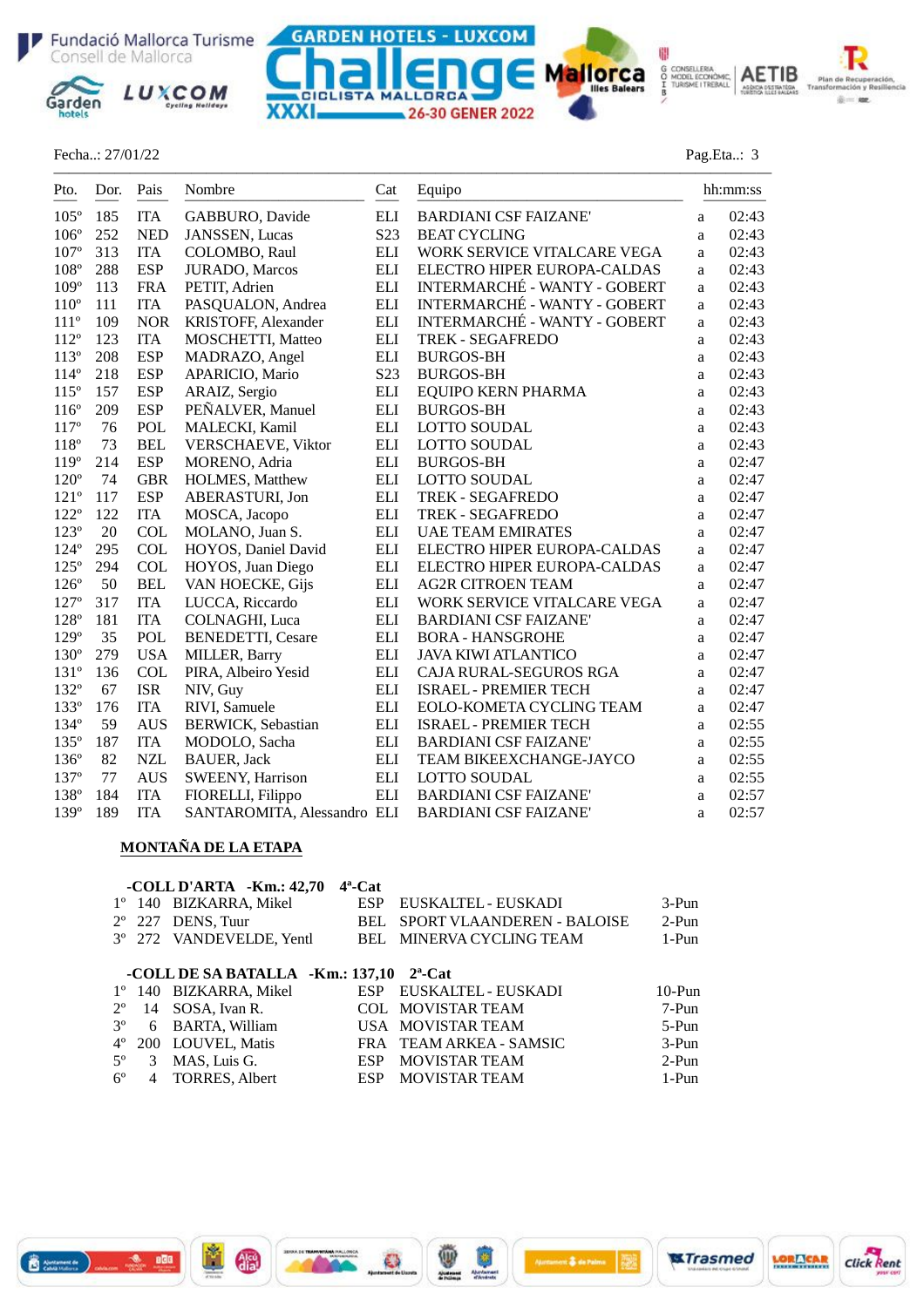





# Fecha..: 27/01/22 Pag.Eta..: 3

**双Trasmed** 

**LORESCAR** 

**Click Rent** 

| Pto.          | Dor. | Pais       | Nombre                      | Cat             | Equipo                              |              | hh:mm:ss |
|---------------|------|------------|-----------------------------|-----------------|-------------------------------------|--------------|----------|
| $105^{\circ}$ | 185  | <b>ITA</b> | GABBURO, Davide             | <b>ELI</b>      | <b>BARDIANI CSF FAIZANE'</b>        | $\mathbf{a}$ | 02:43    |
| $106^{\circ}$ | 252  | <b>NED</b> | JANSSEN, Lucas              | S <sub>23</sub> | <b>BEAT CYCLING</b>                 | a            | 02:43    |
| $107^\circ$   | 313  | <b>ITA</b> | COLOMBO, Raul               | <b>ELI</b>      | WORK SERVICE VITALCARE VEGA         | a            | 02:43    |
| $108^{\rm o}$ | 288  | <b>ESP</b> | JURADO, Marcos              | <b>ELI</b>      | ELECTRO HIPER EUROPA-CALDAS         | a            | 02:43    |
| $109^\circ$   | 113  | <b>FRA</b> | PETIT, Adrien               | ELI             | <b>INTERMARCHÉ - WANTY - GOBERT</b> | a            | 02:43    |
| $110^{\circ}$ | 111  | <b>ITA</b> | PASQUALON, Andrea           | ELI             | <b>INTERMARCHÉ - WANTY - GOBERT</b> | a            | 02:43    |
| $111^{\circ}$ | 109  | <b>NOR</b> | KRISTOFF, Alexander         | <b>ELI</b>      | <b>INTERMARCHÉ - WANTY - GOBERT</b> | a            | 02:43    |
| $112^{\circ}$ | 123  | <b>ITA</b> | MOSCHETTI, Matteo           | <b>ELI</b>      | <b>TREK - SEGAFREDO</b>             | $\mathbf{a}$ | 02:43    |
| $113^{\circ}$ | 208  | <b>ESP</b> | MADRAZO, Angel              | ELI             | <b>BURGOS-BH</b>                    | $\mathbf{a}$ | 02:43    |
| $114^{\circ}$ | 218  | <b>ESP</b> | APARICIO, Mario             | S23             | <b>BURGOS-BH</b>                    | $\mathbf{a}$ | 02:43    |
| $115^{\circ}$ | 157  | <b>ESP</b> | ARAIZ, Sergio               | ELI             | EQUIPO KERN PHARMA                  | a            | 02:43    |
| $116^{\circ}$ | 209  | <b>ESP</b> | PEÑALVER, Manuel            | <b>ELI</b>      | <b>BURGOS-BH</b>                    | $\mathbf{a}$ | 02:43    |
| $117^{\circ}$ | 76   | <b>POL</b> | MALECKI, Kamil              | <b>ELI</b>      | <b>LOTTO SOUDAL</b>                 | $\mathbf{a}$ | 02:43    |
| $118^{\circ}$ | 73   | <b>BEL</b> | <b>VERSCHAEVE, Viktor</b>   | <b>ELI</b>      | <b>LOTTO SOUDAL</b>                 | $\mathbf{a}$ | 02:43    |
| $119^{\circ}$ | 214  | <b>ESP</b> | MORENO, Adria               | <b>ELI</b>      | <b>BURGOS-BH</b>                    | a            | 02:47    |
| $120^{\circ}$ | 74   | <b>GBR</b> | HOLMES, Matthew             | <b>ELI</b>      | <b>LOTTO SOUDAL</b>                 | a            | 02:47    |
| $121^{\circ}$ | 117  | <b>ESP</b> | ABERASTURI, Jon             | <b>ELI</b>      | <b>TREK - SEGAFREDO</b>             | a            | 02:47    |
| $122^{\circ}$ | 122  | <b>ITA</b> | MOSCA, Jacopo               | <b>ELI</b>      | <b>TREK - SEGAFREDO</b>             | a            | 02:47    |
| $123^{\circ}$ | 20   | <b>COL</b> | MOLANO, Juan S.             | <b>ELI</b>      | <b>UAE TEAM EMIRATES</b>            | $\mathbf{a}$ | 02:47    |
| $124^{\circ}$ | 295  | <b>COL</b> | HOYOS, Daniel David         | ELI             | ELECTRO HIPER EUROPA-CALDAS         | a            | 02:47    |
| $125^\circ$   | 294  | <b>COL</b> | HOYOS, Juan Diego           | <b>ELI</b>      | ELECTRO HIPER EUROPA-CALDAS         | a            | 02:47    |
| $126^\circ$   | 50   | <b>BEL</b> | VAN HOECKE, Gijs            | ELI             | <b>AG2R CITROEN TEAM</b>            | a            | 02:47    |
| $127^{\circ}$ | 317  | <b>ITA</b> | LUCCA, Riccardo             | ELI             | WORK SERVICE VITALCARE VEGA         | a            | 02:47    |
| 128°          | 181  | <b>ITA</b> | COLNAGHI, Luca              | ELI             | <b>BARDIANI CSF FAIZANE'</b>        | a            | 02:47    |
| 129°          | 35   | <b>POL</b> | <b>BENEDETTI, Cesare</b>    | ELI             | <b>BORA - HANSGROHE</b>             | a            | 02:47    |
| $130^{\circ}$ | 279  | <b>USA</b> | MILLER, Barry               | ELI             | <b>JAVA KIWI ATLANTICO</b>          | a            | 02:47    |
| $131^{\circ}$ | 136  | <b>COL</b> | PIRA, Albeiro Yesid         | ELI             | CAJA RURAL-SEGUROS RGA              | a            | 02:47    |
| $132^{\circ}$ | 67   | <b>ISR</b> | NIV, Guy                    | <b>ELI</b>      | <b>ISRAEL - PREMIER TECH</b>        | a            | 02:47    |
| 133°          | 176  | <b>ITA</b> | RIVI, Samuele               | <b>ELI</b>      | EOLO-KOMETA CYCLING TEAM            | a            | 02:47    |
| 134°          | 59   | <b>AUS</b> | BERWICK, Sebastian          | ELI             | <b>ISRAEL - PREMIER TECH</b>        | $\mathbf{a}$ | 02:55    |
| $135^{\circ}$ | 187  | <b>ITA</b> | MODOLO, Sacha               | <b>ELI</b>      | <b>BARDIANI CSF FAIZANE'</b>        | $\mathbf{a}$ | 02:55    |
| $136^{\circ}$ | 82   | <b>NZL</b> | <b>BAUER</b> , Jack         | <b>ELI</b>      | TEAM BIKEEXCHANGE-JAYCO             | a            | 02:55    |
| 137°          | 77   | <b>AUS</b> | SWEENY, Harrison            | <b>ELI</b>      | <b>LOTTO SOUDAL</b>                 | a            | 02:55    |
| 138°          | 184  | <b>ITA</b> | FIORELLI, Filippo           | <b>ELI</b>      | <b>BARDIANI CSF FAIZANE'</b>        | a            | 02:57    |
| 139°          | 189  | <b>ITA</b> | SANTAROMITA, Alessandro ELI |                 | <b>BARDIANI CSF FAIZANE'</b>        | a            | 02:57    |

### **MONTAÑA DE LA ETAPA**

62000000

## **-COLL D'ARTA -Km.: 42,70 4ª-Cat**

|             |   | -COLL D'ANIA   -NIII +2,70                           | 99 - Val |                            |          |
|-------------|---|------------------------------------------------------|----------|----------------------------|----------|
|             |   | 1° 140 BIZKARRA, Mikel                               |          | ESP EUSKALTEL - EUSKADI    | $3-Pun$  |
|             |   | $2^{\circ}$ 227 DENS, Tuur                           | BEL      | SPORT VLAANDEREN - BALOISE | $2-Pun$  |
|             |   | 3° 272 VANDEVELDE, Yentl                             |          | BEL MINERVA CYCLING TEAM   | $1-Pun$  |
|             |   |                                                      |          |                            |          |
|             |   | -COLL DE SA BATALLA -Km.: 137,10 2 <sup>a</sup> -Cat |          |                            |          |
|             |   | 1° 140 BIZKARRA, Mikel                               |          | ESP EUSKALTEL - EUSKADI    | $10-Pun$ |
|             |   | $2^{\circ}$ 14 SOSA, Ivan R.                         |          | <b>COL MOVISTAR TEAM</b>   | $7-Pun$  |
| $3^{\circ}$ |   | 6 BARTA, William                                     |          | USA MOVISTAR TEAM          | 5-Pun    |
|             |   | 4° 200 LOUVEL, Matis                                 |          | FRA TEAM ARKEA - SAMSIC    | $3-Pun$  |
| $5^\circ$   | 3 | MAS, Luis G.                                         |          | ESP MOVISTAR TEAM          | $2-Pun$  |
| $6^{\circ}$ |   | 4 TORRES, Albert                                     |          | ESP MOVISTAR TEAM          | 1-Pun    |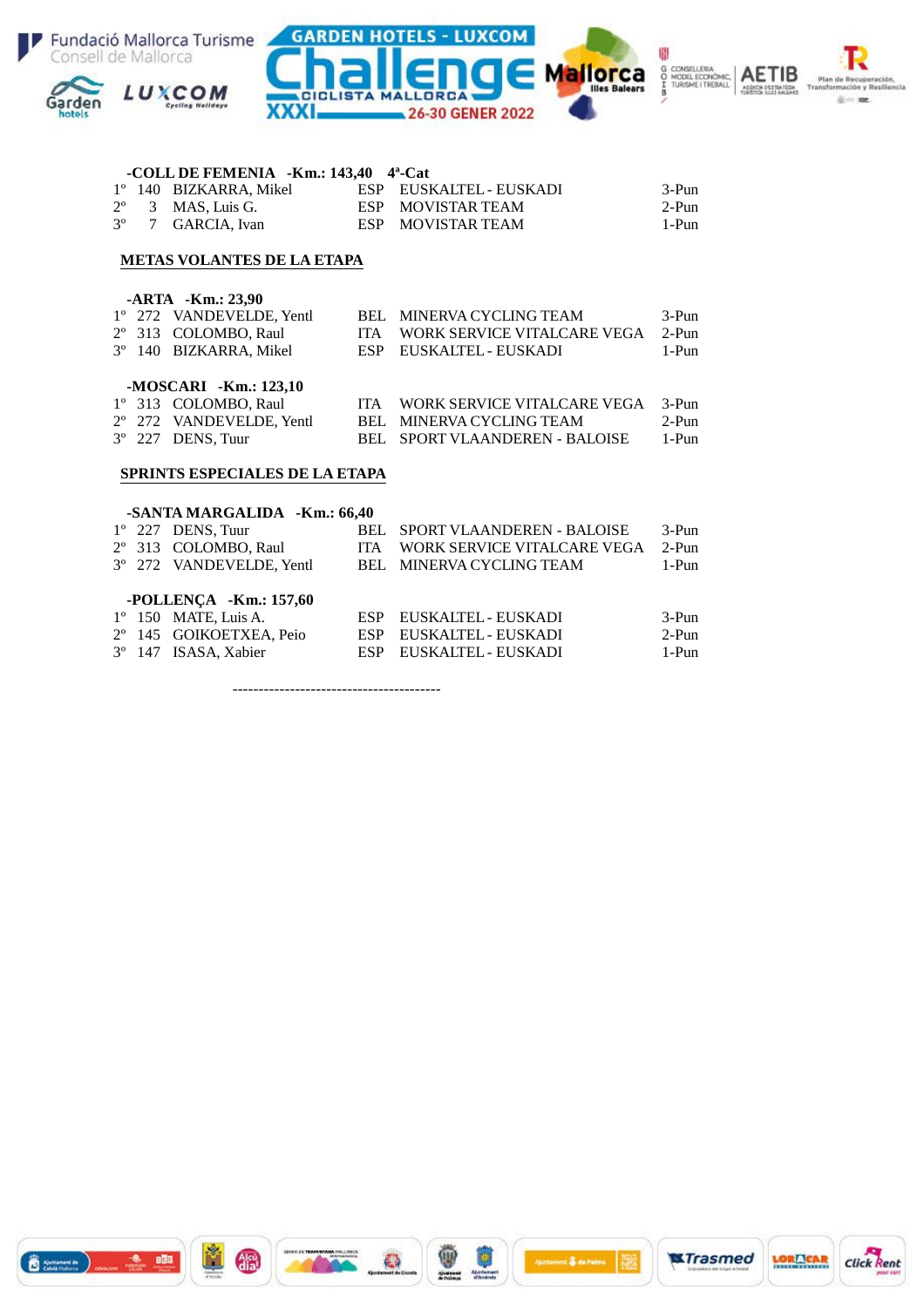







### **-COLL DE FEMENIA -Km.: 143,40 4ª-Cat**

|  | 1° 140 BIZKARRA, Mikel        | ESP EUSKALTEL - EUSKADI | 3-Pun |
|--|-------------------------------|-------------------------|-------|
|  | $2^{\circ}$ 3 MAS, Luis G.    | ESP MOVISTAR TEAM       | 2-Pun |
|  | 3 <sup>°</sup> 7 GARCIA. Ivan | ESP MOVISTAR TEAM       | 1-Pun |

#### **METAS VOLANTES DE LA ETAPA**

#### **-ARTA -Km.: 23,90**

|  | 1° 272 VANDEVELDE, Yentl | BEL MINERVA CYCLING TEAM              | 3-Pun   |
|--|--------------------------|---------------------------------------|---------|
|  | 2° 313 COLOMBO, Raul     | ITA WORK SERVICE VITALCARE VEGA       | $2-Pun$ |
|  | 3° 140 BIZKARRA, Mikel   | ESP EUSKALTEL - EUSKADI               | 1-Pun   |
|  |                          |                                       |         |
|  | -MOSCARI -Km.: 123,10    |                                       |         |
|  | 1° 313 COLOMBO, Raul     | ITA WORK SERVICE VITALCARE VEGA 3-Pun |         |

|  | 2° 272 VANDEVELDE, Yentl   | BEL MINERVA CYCLING TEAM       | 2-Pun |
|--|----------------------------|--------------------------------|-------|
|  | $3^{\circ}$ 227 DENS, Tuur | BEL SPORT VLAANDEREN - BALOISE | 1-Pun |

## **SPRINTS ESPECIALES DE LA ETAPA**

#### **-SANTA MARGALIDA -Km.: 66,40**

|  | $1^{\circ}$ 227 DENS, Tuur    |      | BEL SPORT VLAANDEREN - BALOISE | $3-Pun$ |
|--|-------------------------------|------|--------------------------------|---------|
|  | 2° 313 COLOMBO, Raul          | ITA. | WORK SERVICE VITALCARE VEGA    | $2-Pun$ |
|  | 3° 272 VANDEVELDE, Yentl      |      | BEL MINERVA CYCLING TEAM       | 1-Pun   |
|  |                               |      |                                |         |
|  | $-POLLENCA - Km.: 157,60$     |      |                                |         |
|  | $1^{\circ}$ 150 MATE, Luis A. |      | ESP EUSKALTEL - EUSKADI        | $3-Pun$ |
|  | 2° 145 GOIKOETXEA, Peio       | ESP  | EUSKALTEL - EUSKADI            | $2-Pun$ |
|  | 3° 147 ISASA, Xabier          | ESP  | EUSKALTEL - EUSKADI            | 1-Pun   |
|  |                               |      |                                |         |

----------------------------------------









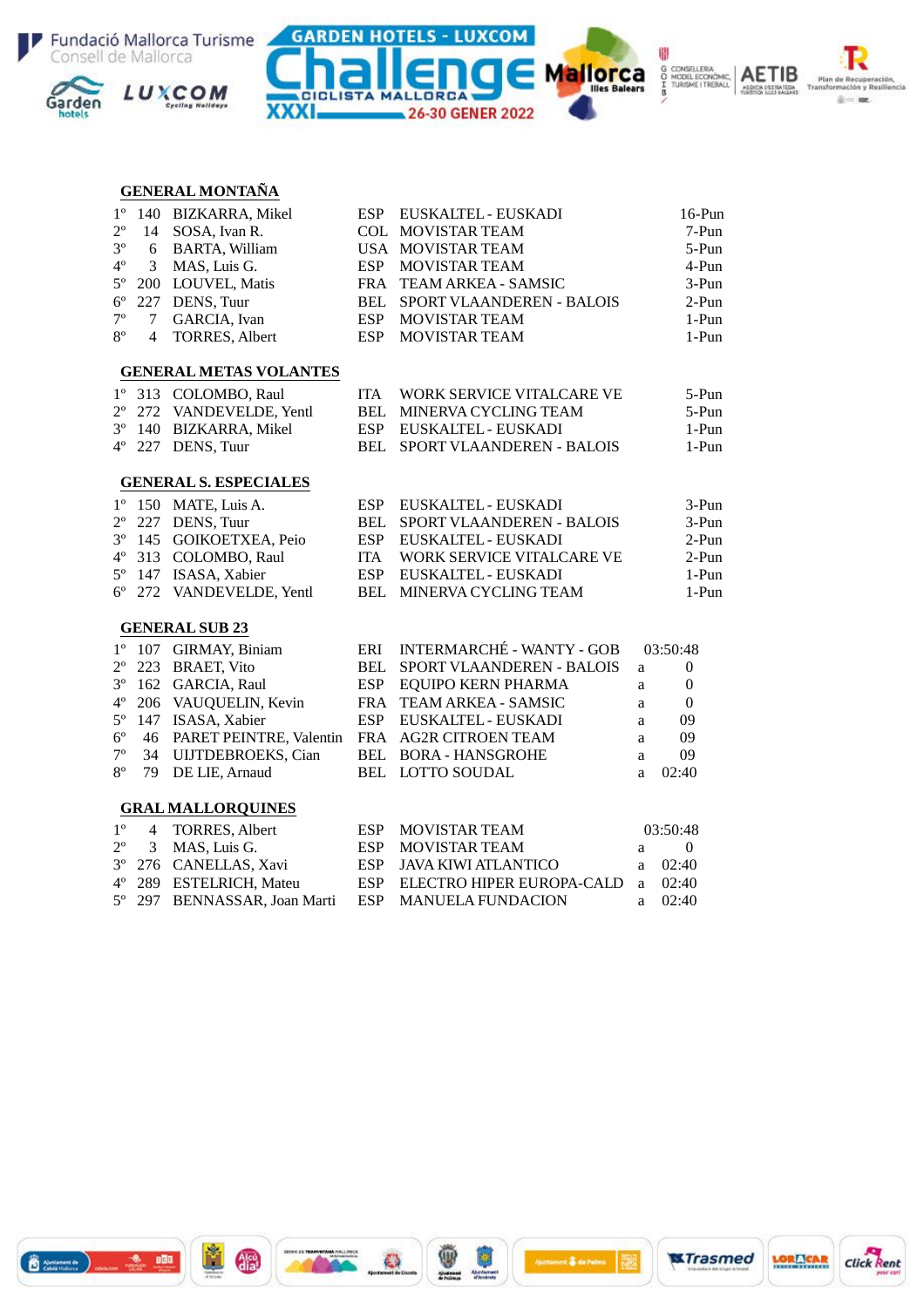







**双Trasmed** 

Click Rent

LORACAR

#### **GENERAL MONTAÑA**

| $1^{\circ}$ | 140             | <b>BIZKARRA, Mikel</b>        | <b>ESP</b> | EUSKALTEL - EUSKADI              |   | $16-Pun$         |
|-------------|-----------------|-------------------------------|------------|----------------------------------|---|------------------|
| $2^{\circ}$ | 14              | SOSA, Ivan R.                 |            | COL MOVISTAR TEAM                |   | 7-Pun            |
| $3^{\circ}$ | 6               | <b>BARTA, William</b>         |            | USA MOVISTAR TEAM                |   | $5-Pun$          |
| $4^{\circ}$ | 3               | MAS, Luis G.                  | <b>ESP</b> | MOVISTAR TEAM                    |   | 4-Pun            |
| $5^{\circ}$ | 200             | LOUVEL, Matis                 | <b>FRA</b> | TEAM ARKEA - SAMSIC              |   | 3-Pun            |
| $6^{\circ}$ | 227             | DENS, Tuur                    | BEL        | SPORT VLAANDEREN - BALOIS        |   | $2-Pun$          |
| $7^{\circ}$ | $\overline{7}$  | GARCIA, Ivan                  | ESP        | <b>MOVISTAR TEAM</b>             |   | $1-Pun$          |
| $8^{\circ}$ | $\overline{4}$  | <b>TORRES, Albert</b>         | <b>ESP</b> | <b>MOVISTAR TEAM</b>             |   | 1-Pun            |
|             |                 | <b>GENERAL METAS VOLANTES</b> |            |                                  |   |                  |
| $1^{\circ}$ | 313             | COLOMBO, Raul                 | <b>ITA</b> | WORK SERVICE VITALCARE VE        |   | $5-Pun$          |
| $2^{\circ}$ | 272             | VANDEVELDE, Yentl             | BEL        | MINERVA CYCLING TEAM             |   | 5-Pun            |
| $3^{\circ}$ | 140             | <b>BIZKARRA, Mikel</b>        | <b>ESP</b> | EUSKALTEL - EUSKADI              |   | $1-Pun$          |
|             | $4^{\circ}$ 227 | DENS, Tuur                    | BEL        | SPORT VLAANDEREN - BALOIS        |   | 1-Pun            |
|             |                 | <b>GENERAL S. ESPECIALES</b>  |            |                                  |   |                  |
| $1^{\rm o}$ | 150             | MATE, Luis A.                 | <b>ESP</b> | EUSKALTEL - EUSKADI              |   | $3-Pun$          |
| $2^{\circ}$ | 227             | DENS, Tuur                    | BEL        | SPORT VLAANDEREN - BALOIS        |   | $3-Pun$          |
| $3^{\circ}$ | 145             | GOIKOETXEA, Peio              | ESP        | EUSKALTEL - EUSKADI              |   | $2-Pun$          |
| $4^{\circ}$ | 313             | COLOMBO, Raul                 | <b>ITA</b> | WORK SERVICE VITALCARE VE        |   | $2-Pun$          |
| $5^{\circ}$ | 147             | ISASA, Xabier                 | <b>ESP</b> | EUSKALTEL - EUSKADI              |   | 1-Pun            |
| $6^{\circ}$ | 272             | VANDEVELDE, Yentl             | BEL        | MINERVA CYCLING TEAM             |   | $1-Pun$          |
|             |                 | <b>GENERAL SUB 23</b>         |            |                                  |   |                  |
| $1^{\circ}$ | 107             | GIRMAY, Biniam                | ERI        | <b>INTERMARCHÉ - WANTY - GOB</b> |   | 03:50:48         |
| $2^{\circ}$ | 223             | <b>BRAET, Vito</b>            | BEL        | SPORT VLAANDEREN - BALOIS        | a | $\boldsymbol{0}$ |
| $3^{\circ}$ | 162             | GARCIA, Raul                  | <b>ESP</b> | <b>EQUIPO KERN PHARMA</b>        | a | $\boldsymbol{0}$ |
| $4^{\circ}$ | 206             | VAUQUELIN, Kevin              | <b>FRA</b> | TEAM ARKEA - SAMSIC              | a | $\boldsymbol{0}$ |
| $5^{\circ}$ | 147             | ISASA, Xabier                 | <b>ESP</b> | EUSKALTEL - EUSKADI              | a | 09               |
| $6^{\circ}$ | 46              | PARET PEINTRE, Valentin       |            | FRA AG2R CITROEN TEAM            | a | 09               |
| $7^{\circ}$ | 34              | UIJTDEBROEKS, Cian            | BEL        | <b>BORA - HANSGROHE</b>          | a | 09               |
| $8^{\circ}$ | 79              | DE LIE, Arnaud                |            | BEL LOTTO SOUDAL                 | a | 02:40            |
|             |                 | <b>GRAL MALLORQUINES</b>      |            |                                  |   |                  |
| $1^{\circ}$ | $\overline{4}$  | <b>TORRES, Albert</b>         | <b>ESP</b> | MOVISTAR TEAM                    |   | 03:50:48         |
| $2^{\circ}$ | 3               | MAS, Luis G.                  | <b>ESP</b> | MOVISTAR TEAM                    | a | $\overline{0}$   |
| $3^{\circ}$ | 276             | CANELLAS, Xavi                | <b>ESP</b> | <b>JAVA KIWI ATLANTICO</b>       | a | 02:40            |
| $4^{\circ}$ | 289             | <b>ESTELRICH, Mateu</b>       | <b>ESP</b> | ELECTRO HIPER EUROPA-CALD        | a | 02:40            |
| $5^{\circ}$ | 297             | BENNASSAR, Joan Marti         | <b>ESP</b> | <b>MANUELA FUNDACION</b>         | a | 02:40            |



ń

 $\frac{d^{(n)}}{d^{(n)}}$ 

3888.1478